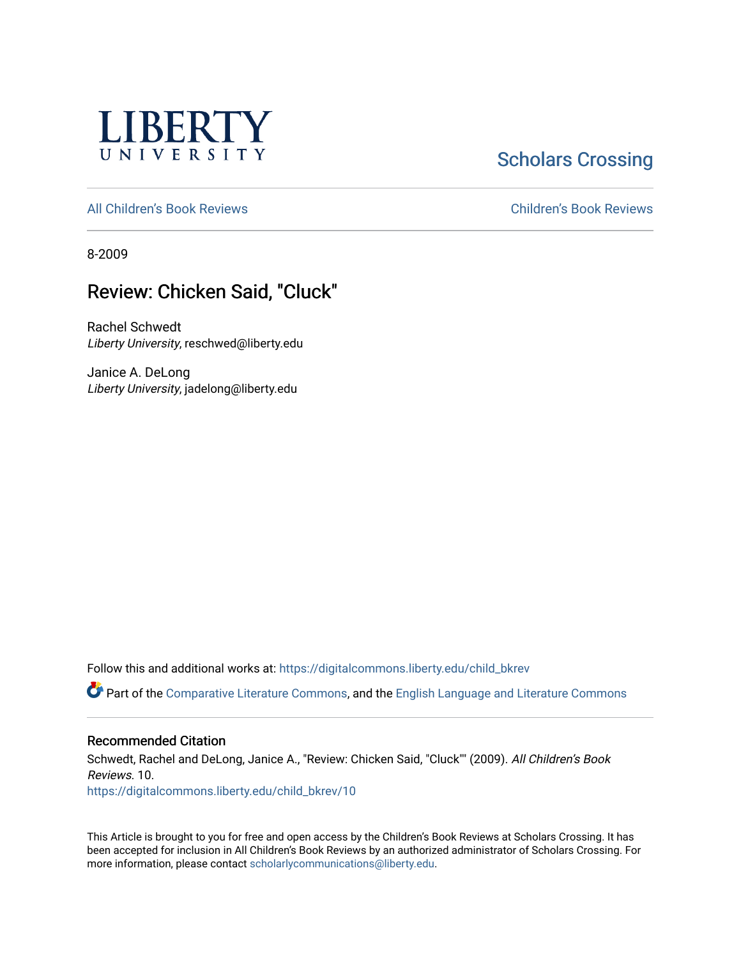

# **Scholars Crossing**

[All Children's Book Reviews](https://digitalcommons.liberty.edu/child_bkrev) [Children's Book Reviews](https://digitalcommons.liberty.edu/child_bookrev) 

8-2009

## Review: Chicken Said, "Cluck"

Rachel Schwedt Liberty University, reschwed@liberty.edu

Janice A. DeLong Liberty University, jadelong@liberty.edu

Follow this and additional works at: [https://digitalcommons.liberty.edu/child\\_bkrev](https://digitalcommons.liberty.edu/child_bkrev?utm_source=digitalcommons.liberty.edu%2Fchild_bkrev%2F10&utm_medium=PDF&utm_campaign=PDFCoverPages) 

Part of the [Comparative Literature Commons](http://network.bepress.com/hgg/discipline/454?utm_source=digitalcommons.liberty.edu%2Fchild_bkrev%2F10&utm_medium=PDF&utm_campaign=PDFCoverPages), and the [English Language and Literature Commons](http://network.bepress.com/hgg/discipline/455?utm_source=digitalcommons.liberty.edu%2Fchild_bkrev%2F10&utm_medium=PDF&utm_campaign=PDFCoverPages)

#### Recommended Citation

Schwedt, Rachel and DeLong, Janice A., "Review: Chicken Said, "Cluck"" (2009). All Children's Book Reviews. 10. [https://digitalcommons.liberty.edu/child\\_bkrev/10](https://digitalcommons.liberty.edu/child_bkrev/10?utm_source=digitalcommons.liberty.edu%2Fchild_bkrev%2F10&utm_medium=PDF&utm_campaign=PDFCoverPages)

This Article is brought to you for free and open access by the Children's Book Reviews at Scholars Crossing. It has been accepted for inclusion in All Children's Book Reviews by an authorized administrator of Scholars Crossing. For more information, please contact [scholarlycommunications@liberty.edu](mailto:scholarlycommunications@liberty.edu).